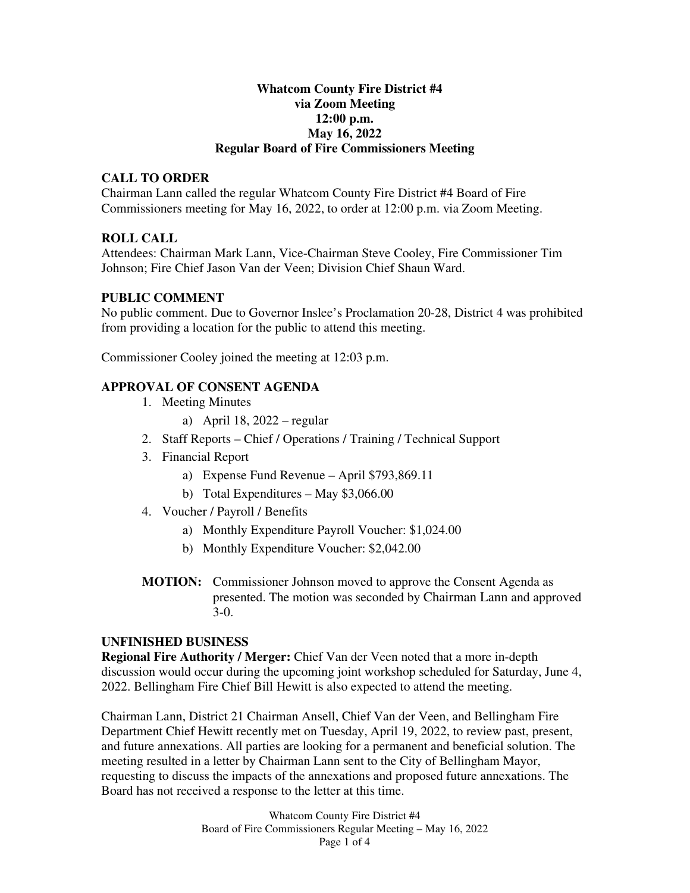## **Whatcom County Fire District #4 via Zoom Meeting 12:00 p.m. May 16, 2022 Regular Board of Fire Commissioners Meeting**

## **CALL TO ORDER**

Chairman Lann called the regular Whatcom County Fire District #4 Board of Fire Commissioners meeting for May 16, 2022, to order at 12:00 p.m. via Zoom Meeting.

## **ROLL CALL**

Attendees: Chairman Mark Lann, Vice-Chairman Steve Cooley, Fire Commissioner Tim Johnson; Fire Chief Jason Van der Veen; Division Chief Shaun Ward.

## **PUBLIC COMMENT**

No public comment. Due to Governor Inslee's Proclamation 20-28, District 4 was prohibited from providing a location for the public to attend this meeting.

Commissioner Cooley joined the meeting at 12:03 p.m.

## **APPROVAL OF CONSENT AGENDA**

- 1. Meeting Minutes
	- a) April 18, 2022 regular
- 2. Staff Reports Chief / Operations / Training / Technical Support
- 3. Financial Report
	- a) Expense Fund Revenue April \$793,869.11
	- b) Total Expenditures May \$3,066.00
- 4. Voucher / Payroll / Benefits
	- a) Monthly Expenditure Payroll Voucher: \$1,024.00
	- b) Monthly Expenditure Voucher: \$2,042.00
- **MOTION:** Commissioner Johnson moved to approve the Consent Agenda as presented. The motion was seconded by Chairman Lann and approved 3-0.

#### **UNFINISHED BUSINESS**

**Regional Fire Authority / Merger:** Chief Van der Veen noted that a more in-depth discussion would occur during the upcoming joint workshop scheduled for Saturday, June 4, 2022. Bellingham Fire Chief Bill Hewitt is also expected to attend the meeting.

Chairman Lann, District 21 Chairman Ansell, Chief Van der Veen, and Bellingham Fire Department Chief Hewitt recently met on Tuesday, April 19, 2022, to review past, present, and future annexations. All parties are looking for a permanent and beneficial solution. The meeting resulted in a letter by Chairman Lann sent to the City of Bellingham Mayor, requesting to discuss the impacts of the annexations and proposed future annexations. The Board has not received a response to the letter at this time.

> Whatcom County Fire District #4 Board of Fire Commissioners Regular Meeting – May 16, 2022 Page 1 of 4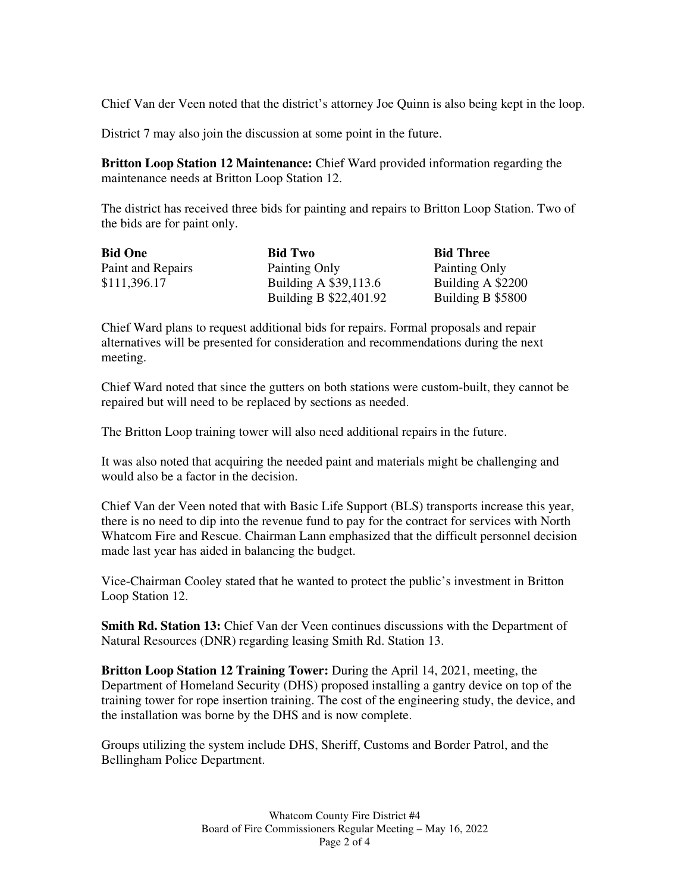Chief Van der Veen noted that the district's attorney Joe Quinn is also being kept in the loop.

District 7 may also join the discussion at some point in the future.

**Britton Loop Station 12 Maintenance:** Chief Ward provided information regarding the maintenance needs at Britton Loop Station 12.

The district has received three bids for painting and repairs to Britton Loop Station. Two of the bids are for paint only.

| <b>Bid One</b>    | <b>Bid Two</b>         | <b>Bid Three</b>  |
|-------------------|------------------------|-------------------|
| Paint and Repairs | Painting Only          | Painting Only     |
| \$111,396.17      | Building A \$39,113.6  | Building A \$2200 |
|                   | Building B \$22,401.92 | Building B \$5800 |

Chief Ward plans to request additional bids for repairs. Formal proposals and repair alternatives will be presented for consideration and recommendations during the next meeting.

Chief Ward noted that since the gutters on both stations were custom-built, they cannot be repaired but will need to be replaced by sections as needed.

The Britton Loop training tower will also need additional repairs in the future.

It was also noted that acquiring the needed paint and materials might be challenging and would also be a factor in the decision.

Chief Van der Veen noted that with Basic Life Support (BLS) transports increase this year, there is no need to dip into the revenue fund to pay for the contract for services with North Whatcom Fire and Rescue. Chairman Lann emphasized that the difficult personnel decision made last year has aided in balancing the budget.

Vice-Chairman Cooley stated that he wanted to protect the public's investment in Britton Loop Station 12.

**Smith Rd. Station 13:** Chief Van der Veen continues discussions with the Department of Natural Resources (DNR) regarding leasing Smith Rd. Station 13.

**Britton Loop Station 12 Training Tower:** During the April 14, 2021, meeting, the Department of Homeland Security (DHS) proposed installing a gantry device on top of the training tower for rope insertion training. The cost of the engineering study, the device, and the installation was borne by the DHS and is now complete.

Groups utilizing the system include DHS, Sheriff, Customs and Border Patrol, and the Bellingham Police Department.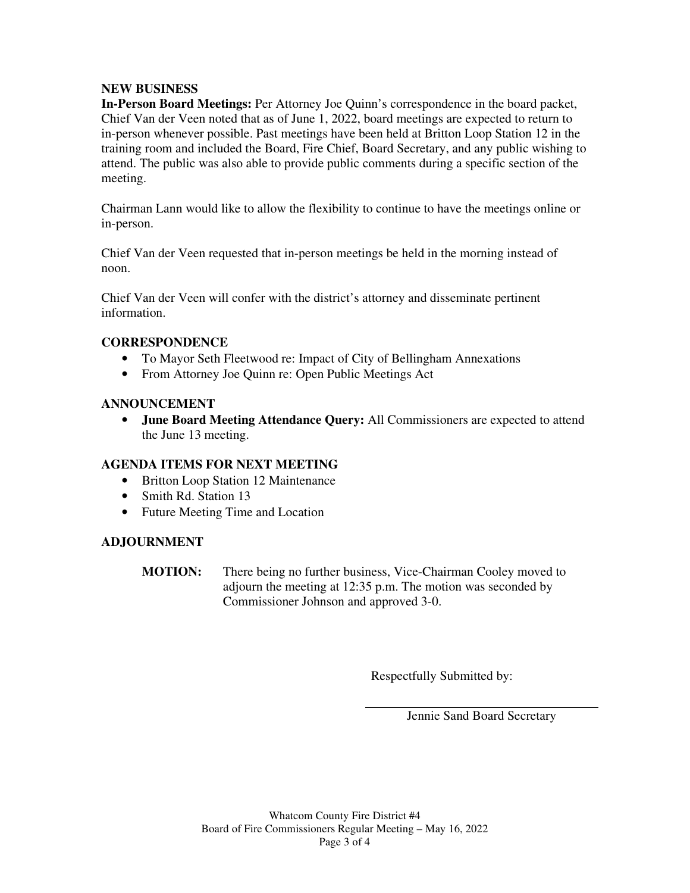# **NEW BUSINESS**

**In-Person Board Meetings:** Per Attorney Joe Quinn's correspondence in the board packet, Chief Van der Veen noted that as of June 1, 2022, board meetings are expected to return to in-person whenever possible. Past meetings have been held at Britton Loop Station 12 in the training room and included the Board, Fire Chief, Board Secretary, and any public wishing to attend. The public was also able to provide public comments during a specific section of the meeting.

Chairman Lann would like to allow the flexibility to continue to have the meetings online or in-person.

Chief Van der Veen requested that in-person meetings be held in the morning instead of noon.

Chief Van der Veen will confer with the district's attorney and disseminate pertinent information.

# **CORRESPONDENCE**

- To Mayor Seth Fleetwood re: Impact of City of Bellingham Annexations
- From Attorney Joe Quinn re: Open Public Meetings Act

## **ANNOUNCEMENT**

• **June Board Meeting Attendance Query:** All Commissioners are expected to attend the June 13 meeting.

# **AGENDA ITEMS FOR NEXT MEETING**

- Britton Loop Station 12 Maintenance
- Smith Rd. Station 13
- Future Meeting Time and Location

# **ADJOURNMENT**

**MOTION:** There being no further business, Vice-Chairman Cooley moved to adjourn the meeting at 12:35 p.m. The motion was seconded by Commissioner Johnson and approved 3-0.

Respectfully Submitted by:

Jennie Sand Board Secretary